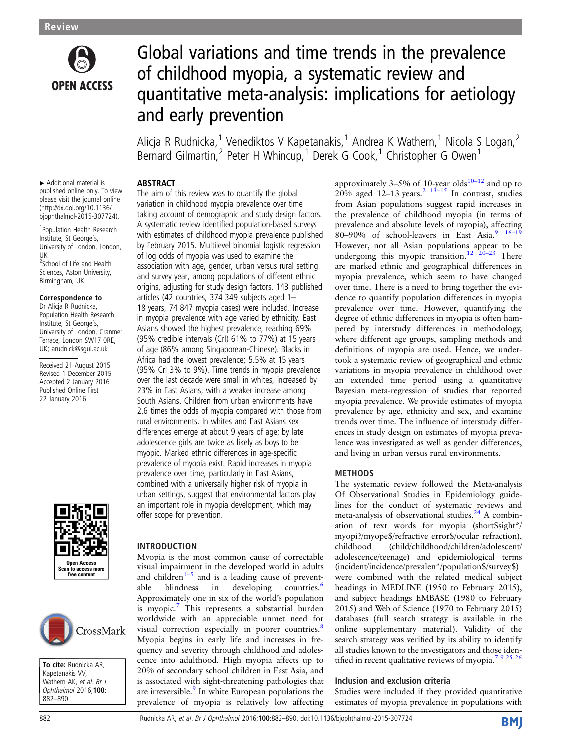

# Global variations and time trends in the prevalence of childhood myopia, a systematic review and quantitative meta-analysis: implications for aetiology and early prevention

Alicja R Rudnicka,<sup>1</sup> Venediktos V Kapetanakis,<sup>1</sup> Andrea K Wathern,<sup>1</sup> Nicola S Logan,<sup>2</sup> Bernard Gilmartin,<sup>2</sup> Peter H Whincup,<sup>1</sup> Derek G Cook,<sup>1</sup> Christopher G Owen<sup>1</sup>

## ABSTRACT

▸ Additional material is published online only. To view please visit the journal online [\(http://dx.doi.org/10.1136/](http://dx.doi.org/10.1136/bjophthalmol-2015-307724) [bjophthalmol-2015-307724\)](http://dx.doi.org/10.1136/bjophthalmol-2015-307724).

1 Population Health Research Institute, St George's, University of London, London, UK

<sup>2</sup>School of Life and Health Sciences, Aston University, Birmingham, UK

## Correspondence to

Dr Alicja R Rudnicka, Population Health Research Institute, St George's, University of London, Cranmer Terrace, London SW17 0RE, UK; arudnick@sgul.ac.uk

Received 21 August 2015 Revised 1 December 2015 Accepted 2 January 2016 Published Online First 22 January 2016





To cite: Rudnicka AR, Kapetanakis VV, Wathern AK, et al. Br J Ophthalmol 2016;100: 882–890.

The aim of this review was to quantify the global variation in childhood myopia prevalence over time taking account of demographic and study design factors. A systematic review identified population-based surveys with estimates of childhood myopia prevalence published by February 2015. Multilevel binomial logistic regression of log odds of myopia was used to examine the association with age, gender, urban versus rural setting and survey year, among populations of different ethnic origins, adjusting for study design factors. 143 published articles (42 countries, 374 349 subjects aged 1– 18 years, 74 847 myopia cases) were included. Increase in myopia prevalence with age varied by ethnicity. East Asians showed the highest prevalence, reaching 69% (95% credible intervals (CrI) 61% to 77%) at 15 years of age (86% among Singaporean-Chinese). Blacks in Africa had the lowest prevalence; 5.5% at 15 years (95% CrI 3% to 9%). Time trends in myopia prevalence over the last decade were small in whites, increased by 23% in East Asians, with a weaker increase among South Asians. Children from urban environments have 2.6 times the odds of myopia compared with those from rural environments. In whites and East Asians sex differences emerge at about 9 years of age; by late adolescence girls are twice as likely as boys to be myopic. Marked ethnic differences in age-specific prevalence of myopia exist. Rapid increases in myopia prevalence over time, particularly in East Asians, combined with a universally higher risk of myopia in urban settings, suggest that environmental factors play an important role in myopia development, which may offer scope for prevention.

# INTRODUCTION

Myopia is the most common cause of correctable visual impairment in the developed world in adults and children<sup>1–5</sup> and is a leading cause of prevent-<br>able blindness in developing countries.<sup>6</sup> able blindness in developing countries.<sup>[6](#page-7-0)</sup> Approximately one in six of the world's population is myopic.<sup>[7](#page-7-0)</sup> This represents a substantial burden worldwide with an appreciable unmet need for visual correction especially in poorer countries.<sup>[8](#page-7-0)</sup> Myopia begins in early life and increases in frequency and severity through childhood and adolescence into adulthood. High myopia affects up to 20% of secondary school children in East Asia, and is associated with sight-threatening pathologies that are irreversible.<sup>[9](#page-7-0)</sup> In white European populations the prevalence of myopia is relatively low affecting

approximately  $3-5\%$  of [10](#page-7-0)-year olds<sup>10-12</sup> and up to [2](#page-7-0)0% aged 12–13 years.<sup>2 13–[15](#page-7-0)</sup> In contrast, studies from Asian populations suggest rapid increases in the prevalence of childhood myopia (in terms of prevalence and absolute levels of myopia), affecting 80–90% of school-leavers in East Asia. $9^{9}$  16–1 However, not all Asian populations appear to be undergoing this myopic transition.<sup>[12 20](#page-7-0)–23</sup> There are marked ethnic and geographical differences in myopia prevalence, which seem to have changed over time. There is a need to bring together the evidence to quantify population differences in myopia prevalence over time. However, quantifying the degree of ethnic differences in myopia is often hampered by interstudy differences in methodology, where different age groups, sampling methods and definitions of myopia are used. Hence, we undertook a systematic review of geographical and ethnic variations in myopia prevalence in childhood over an extended time period using a quantitative Bayesian meta-regression of studies that reported myopia prevalence. We provide estimates of myopia prevalence by age, ethnicity and sex, and examine trends over time. The influence of interstudy differences in study design on estimates of myopia prevalence was investigated as well as gender differences, and living in urban versus rural environments.

# METHODS

The systematic review followed the Meta-analysis Of Observational Studies in Epidemiology guidelines for the conduct of systematic reviews and meta-analysis of observational studies.<sup>[24](#page-7-0)</sup> A combination of text words for myopia (short\$sight\*/ myopi?/myope\$/refractive error\$/ocular refraction), childhood (child/childhood/children/adolescent/ adolescence/teenage) and epidemiological terms (incident/incidence/prevalen\*/population\$/survey\$) were combined with the related medical subject headings in MEDLINE (1950 to February 2015), and subject headings EMBASE (1980 to February 2015) and Web of Science (1970 to February 2015) databases (full search strategy is available in the online supplementary material). Validity of the search strategy was verified by its ability to identify all studies known to the investigators and those iden-tified in recent qualitative reviews of myopia.<sup>[7 9 25 26](#page-7-0)</sup>

## Inclusion and exclusion criteria

Studies were included if they provided quantitative estimates of myopia prevalence in populations with

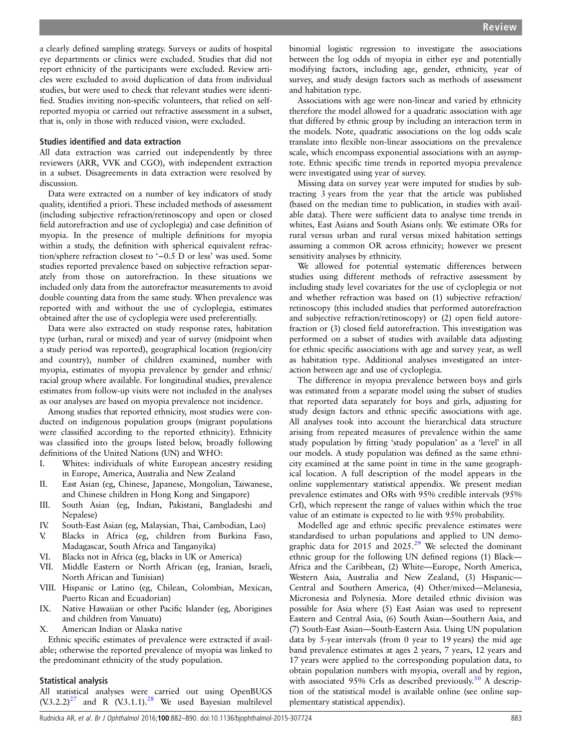a clearly defined sampling strategy. Surveys or audits of hospital eye departments or clinics were excluded. Studies that did not report ethnicity of the participants were excluded. Review articles were excluded to avoid duplication of data from individual studies, but were used to check that relevant studies were identified. Studies inviting non-specific volunteers, that relied on selfreported myopia or carried out refractive assessment in a subset, that is, only in those with reduced vision, were excluded.

#### Studies identified and data extraction

All data extraction was carried out independently by three reviewers (ARR, VVK and CGO), with independent extraction in a subset. Disagreements in data extraction were resolved by discussion.

Data were extracted on a number of key indicators of study quality, identified a priori. These included methods of assessment (including subjective refraction/retinoscopy and open or closed field autorefraction and use of cycloplegia) and case definition of myopia. In the presence of multiple definitions for myopia within a study, the definition with spherical equivalent refraction/sphere refraction closest to '−0.5 D or less' was used. Some studies reported prevalence based on subjective refraction separately from those on autorefraction. In these situations we included only data from the autorefractor measurements to avoid double counting data from the same study. When prevalence was reported with and without the use of cycloplegia, estimates obtained after the use of cycloplegia were used preferentially.

Data were also extracted on study response rates, habitation type (urban, rural or mixed) and year of survey (midpoint when a study period was reported), geographical location (region/city and country), number of children examined, number with myopia, estimates of myopia prevalence by gender and ethnic/ racial group where available. For longitudinal studies, prevalence estimates from follow-up visits were not included in the analyses as our analyses are based on myopia prevalence not incidence.

Among studies that reported ethnicity, most studies were conducted on indigenous population groups (migrant populations were classified according to the reported ethnicity). Ethnicity was classified into the groups listed below, broadly following definitions of the United Nations (UN) and WHO:

- I. Whites: individuals of white European ancestry residing in Europe, America, Australia and New Zealand
- II. East Asian (eg, Chinese, Japanese, Mongolian, Taiwanese, and Chinese children in Hong Kong and Singapore)
- III. South Asian (eg, Indian, Pakistani, Bangladeshi and Nepalese)
- IV. South-East Asian (eg, Malaysian, Thai, Cambodian, Lao)
- V. Blacks in Africa (eg, children from Burkina Faso, Madagascar, South Africa and Tanganyika)
- VI. Blacks not in Africa (eg, blacks in UK or America)
- VII. Middle Eastern or North African (eg, Iranian, Israeli, North African and Tunisian)
- VIII. Hispanic or Latino (eg, Chilean, Colombian, Mexican, Puerto Rican and Ecuadorian)
- IX. Native Hawaiian or other Pacific Islander (eg, Aborigines and children from Vanuatu)
- X. American Indian or Alaska native

Ethnic specific estimates of prevalence were extracted if available; otherwise the reported prevalence of myopia was linked to the predominant ethnicity of the study population.

### Statistical analysis

All statistical analyses were carried out using OpenBUGS  $(V.3.2.2)^{27}$  $(V.3.2.2)^{27}$  $(V.3.2.2)^{27}$  and R  $(V.3.1.1)^{28}$  $(V.3.1.1)^{28}$  $(V.3.1.1)^{28}$  We used Bayesian multilevel binomial logistic regression to investigate the associations between the log odds of myopia in either eye and potentially modifying factors, including age, gender, ethnicity, year of survey, and study design factors such as methods of assessment and habitation type.

Associations with age were non-linear and varied by ethnicity therefore the model allowed for a quadratic association with age that differed by ethnic group by including an interaction term in the models. Note, quadratic associations on the log odds scale translate into flexible non-linear associations on the prevalence scale, which encompass exponential associations with an asymptote. Ethnic specific time trends in reported myopia prevalence were investigated using year of survey.

Missing data on survey year were imputed for studies by subtracting 3 years from the year that the article was published (based on the median time to publication, in studies with available data). There were sufficient data to analyse time trends in whites, East Asians and South Asians only. We estimate ORs for rural versus urban and rural versus mixed habitation settings assuming a common OR across ethnicity; however we present sensitivity analyses by ethnicity.

We allowed for potential systematic differences between studies using different methods of refractive assessment by including study level covariates for the use of cycloplegia or not and whether refraction was based on (1) subjective refraction/ retinoscopy (this included studies that performed autorefraction and subjective refraction/retinoscopy) or (2) open field autorefraction or (3) closed field autorefraction. This investigation was performed on a subset of studies with available data adjusting for ethnic specific associations with age and survey year, as well as habitation type. Additional analyses investigated an interaction between age and use of cycloplegia.

The difference in myopia prevalence between boys and girls was estimated from a separate model using the subset of studies that reported data separately for boys and girls, adjusting for study design factors and ethnic specific associations with age. All analyses took into account the hierarchical data structure arising from repeated measures of prevalence within the same study population by fitting 'study population' as a 'level' in all our models. A study population was defined as the same ethnicity examined at the same point in time in the same geographical location. A full description of the model appears in the online supplementary statistical appendix. We present median prevalence estimates and ORs with 95% credible intervals (95% CrI), which represent the range of values within which the true value of an estimate is expected to lie with 95% probability.

Modelled age and ethnic specific prevalence estimates were standardised to urban populations and applied to UN demo-graphic data for 2015 and 2025.<sup>[29](#page-7-0)</sup> We selected the dominant ethnic group for the following UN defined regions (1) Black— Africa and the Caribbean, (2) White—Europe, North America, Western Asia, Australia and New Zealand, (3) Hispanic— Central and Southern America, (4) Other/mixed—Melanesia, Micronesia and Polynesia. More detailed ethnic division was possible for Asia where (5) East Asian was used to represent Eastern and Central Asia, (6) South Asian—Southern Asia, and (7) South-East Asian—South-Eastern Asia. Using UN population data by 5-year intervals (from 0 year to 19 years) the mid age band prevalence estimates at ages 2 years, 7 years, 12 years and 17 years were applied to the corresponding population data, to obtain population numbers with myopia, overall and by region, with associated 95% CrIs as described previously.<sup>[30](#page-7-0)</sup> A description of the statistical model is available online (see online supplementary statistical appendix).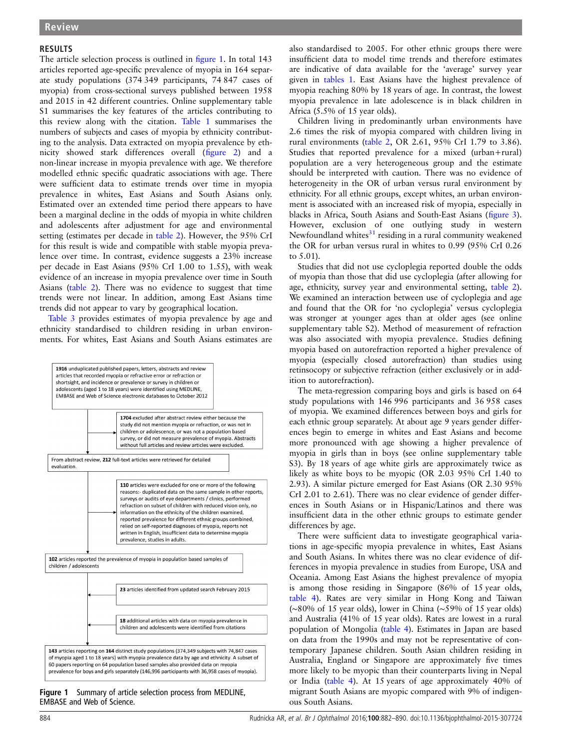#### RESULTS

The article selection process is outlined in figure 1. In total 143 articles reported age-specific prevalence of myopia in 164 separate study populations (374 349 participants, 74 847 cases of myopia) from cross-sectional surveys published between 1958 and 2015 in 42 different countries. Online [supplementary table](http://bjo.bmj.com/lookup/suppl/doi:10.1136/bjophthalmol-2015-307724/-/DC1) S1 summarises the key features of the articles contributing to this review along with the citation. [Table 1](#page-3-0) summarises the numbers of subjects and cases of myopia by ethnicity contributing to the analysis. Data extracted on myopia prevalence by ethnicity showed stark differences overall (fi[gure 2](#page-3-0)) and a non-linear increase in myopia prevalence with age. We therefore modelled ethnic specific quadratic associations with age. There were sufficient data to estimate trends over time in myopia prevalence in whites, East Asians and South Asians only. Estimated over an extended time period there appears to have been a marginal decline in the odds of myopia in white children and adolescents after adjustment for age and environmental setting (estimates per decade in [table 2\)](#page-4-0). However, the 95% CrI for this result is wide and compatible with stable myopia prevalence over time. In contrast, evidence suggests a 23% increase per decade in East Asians (95% CrI 1.00 to 1.55), with weak evidence of an increase in myopia prevalence over time in South Asians ([table 2](#page-4-0)). There was no evidence to suggest that time trends were not linear. In addition, among East Asians time trends did not appear to vary by geographical location.

[Table 3](#page-4-0) provides estimates of myopia prevalence by age and ethnicity standardised to children residing in urban environments. For whites, East Asians and South Asians estimates are



Figure 1 Summary of article selection process from MEDLINE, EMBASE and Web of Science.

also standardised to 2005. For other ethnic groups there were insufficient data to model time trends and therefore estimates are indicative of data available for the 'average' survey year given in [tables 1](#page-3-0). East Asians have the highest prevalence of myopia reaching 80% by 18 years of age. In contrast, the lowest myopia prevalence in late adolescence is in black children in Africa (5.5% of 15 year olds).

Children living in predominantly urban environments have 2.6 times the risk of myopia compared with children living in rural environments ([table 2,](#page-4-0) OR 2.61, 95% CrI 1.79 to 3.86). Studies that reported prevalence for a mixed (urban+rural) population are a very heterogeneous group and the estimate should be interpreted with caution. There was no evidence of heterogeneity in the OR of urban versus rural environment by ethnicity. For all ethnic groups, except whites, an urban environment is associated with an increased risk of myopia, especially in blacks in Africa, South Asians and South-East Asians (fi[gure 3\)](#page-5-0). However, exclusion of one outlying study in western Newfoundland whites $31$  residing in a rural community weakened the OR for urban versus rural in whites to 0.99 (95% CrI 0.26 to 5.01).

Studies that did not use cycloplegia reported double the odds of myopia than those that did use cycloplegia (after allowing for age, ethnicity, survey year and environmental setting, [table 2\)](#page-4-0). We examined an interaction between use of cycloplegia and age and found that the OR for 'no cycloplegia' versus cycloplegia was stronger at younger ages than at older ages (see online [supplementary table](http://bjo.bmj.com/lookup/suppl/doi:10.1136/bjophthalmol-2015-307724/-/DC1) S2). Method of measurement of refraction was also associated with myopia prevalence. Studies defining myopia based on autorefraction reported a higher prevalence of myopia (especially closed autorefraction) than studies using retinsocopy or subjective refraction (either exclusively or in addition to autorefraction).

The meta-regression comparing boys and girls is based on 64 study populations with 146 996 participants and 36 958 cases of myopia. We examined differences between boys and girls for each ethnic group separately. At about age 9 years gender differences begin to emerge in whites and East Asians and become more pronounced with age showing a higher prevalence of myopia in girls than in boys (see online [supplementary table](http://bjo.bmj.com/lookup/suppl/doi:10.1136/bjophthalmol-2015-307724/-/DC1) S3). By 18 years of age white girls are approximately twice as likely as white boys to be myopic (OR 2.03 95% CrI 1.40 to 2.93). A similar picture emerged for East Asians (OR 2.30 95% CrI 2.01 to 2.61). There was no clear evidence of gender differences in South Asians or in Hispanic/Latinos and there was insufficient data in the other ethnic groups to estimate gender differences by age.

There were sufficient data to investigate geographical variations in age-specific myopia prevalence in whites, East Asians and South Asians. In whites there was no clear evidence of differences in myopia prevalence in studies from Europe, USA and Oceania. Among East Asians the highest prevalence of myopia is among those residing in Singapore (86% of 15 year olds, [table 4](#page-5-0)). Rates are very similar in Hong Kong and Taiwan (∼80% of 15 year olds), lower in China (∼59% of 15 year olds) and Australia (41% of 15 year olds). Rates are lowest in a rural population of Mongolia [\(table 4](#page-5-0)). Estimates in Japan are based on data from the 1990s and may not be representative of contemporary Japanese children. South Asian children residing in Australia, England or Singapore are approximately five times more likely to be myopic than their counterparts living in Nepal or India ([table 4](#page-5-0)). At 15 years of age approximately 40% of migrant South Asians are myopic compared with 9% of indigenous South Asians.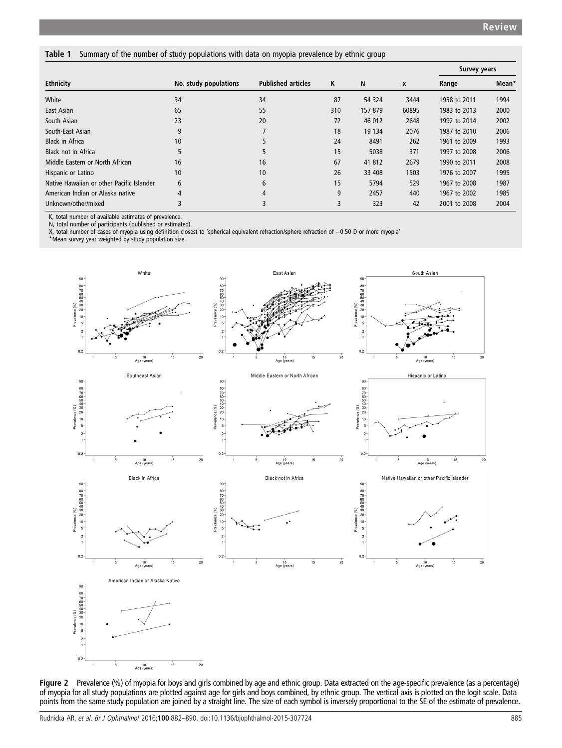#### <span id="page-3-0"></span>Table 1 Summary of the number of study populations with data on myopia prevalence by ethnic group

|                                           |                       |                           |     |         |       | <b>Survey years</b> |       |
|-------------------------------------------|-----------------------|---------------------------|-----|---------|-------|---------------------|-------|
| <b>Ethnicity</b>                          | No. study populations | <b>Published articles</b> | K   | N       | X     | Range               | Mean* |
| White                                     | 34                    | 34                        | 87  | 54 324  | 3444  | 1958 to 2011        | 1994  |
| East Asian                                | 65                    | 55                        | 310 | 157 879 | 60895 | 1983 to 2013        | 2000  |
| South Asian                               | 23                    | 20                        | 72  | 46 012  | 2648  | 1992 to 2014        | 2002  |
| South-East Asian                          | 9                     |                           | 18  | 19 134  | 2076  | 1987 to 2010        | 2006  |
| <b>Black in Africa</b>                    | 10                    |                           | 24  | 8491    | 262   | 1961 to 2009        | 1993  |
| <b>Black not in Africa</b>                | 5                     | 5                         | 15  | 5038    | 371   | 1997 to 2008        | 2006  |
| Middle Eastern or North African           | 16                    | 16                        | 67  | 41 812  | 2679  | 1990 to 2011        | 2008  |
| Hispanic or Latino                        | 10                    | 10                        | 26  | 33 408  | 1503  | 1976 to 2007        | 1995  |
| Native Hawaiian or other Pacific Islander | 6                     | 6                         | 15  | 5794    | 529   | 1967 to 2008        | 1987  |
| American Indian or Alaska native          | 4                     | 4                         | 9   | 2457    | 440   | 1967 to 2002        | 1985  |
| Unknown/other/mixed                       |                       | 3                         | 3   | 323     | 42    | 2001 to 2008        | 2004  |

K, total number of available estimates of prevalence.

N, total number of participants (published or estimated).

X, total number of cases of myopia using definition closest to 'spherical equivalent refraction/sphere refraction of −0.50 D or more myopia'

\*Mean survey year weighted by study population size.



Figure 2 Prevalence (%) of myopia for boys and girls combined by age and ethnic group. Data extracted on the age-specific prevalence (as a percentage) of myopia for all study populations are plotted against age for girls and boys combined, by ethnic group. The vertical axis is plotted on the logit scale. Data points from the same study population are joined by a straight line. The size of each symbol is inversely proportional to the SE of the estimate of prevalence.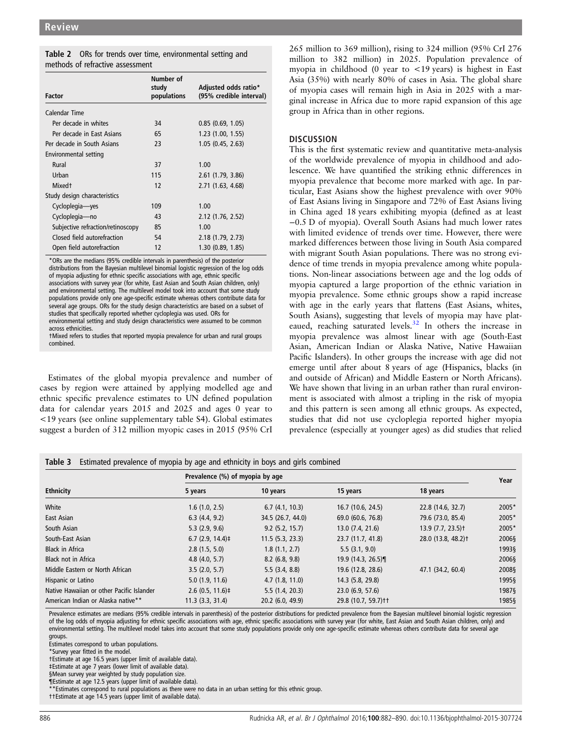<span id="page-4-0"></span>

|                                  |  |  | Table 2 ORs for trends over time, environmental setting and |  |
|----------------------------------|--|--|-------------------------------------------------------------|--|
| methods of refractive assessment |  |  |                                                             |  |

| <b>Factor</b>                     | Number of<br>study<br>populations | Adjusted odds ratio*<br>(95% credible interval) |
|-----------------------------------|-----------------------------------|-------------------------------------------------|
| Calendar Time                     |                                   |                                                 |
| Per decade in whites              | 34                                | 0.85(0.69, 1.05)                                |
| Per decade in East Asians         | 65                                | 1.23(1.00, 1.55)                                |
| Per decade in South Asians        | 23                                | 1.05(0.45, 2.63)                                |
| Environmental setting             |                                   |                                                 |
| Rural                             | 37                                | 1.00                                            |
| Urban                             | 115                               | $2.61$ (1.79, 3.86)                             |
| Mixed <sup>+</sup>                | 12                                | 2.71(1.63, 4.68)                                |
| Study design characteristics      |                                   |                                                 |
| Cycloplegia-yes                   | 109                               | 1.00                                            |
| Cycloplegia-no                    | 43                                | 2.12(1.76, 2.52)                                |
| Subjective refraction/retinoscopy | 85                                | 1.00                                            |
| Closed field autorefraction       | 54                                | 2.18(1.79, 2.73)                                |
| Open field autorefraction         | 12                                | 1.30(0.89, 1.85)                                |

\*ORs are the medians (95% credible intervals in parenthesis) of the posterior distributions from the Bayesian multilevel binomial logistic regression of the log odds of myopia adjusting for ethnic specific associations with age, ethnic specific associations with survey year (for white, East Asian and South Asian children, only) and environmental setting. The multilevel model took into account that some study populations provide only one age-specific estimate whereas others contribute data for several age groups. ORs for the study design characteristics are based on a subset of studies that specifically reported whether cycloplegia was used. ORs for environmental setting and study design characteristics were assumed to be common across ethnicities.

†Mixed refers to studies that reported myopia prevalence for urban and rural groups combined.

Estimates of the global myopia prevalence and number of cases by region were attained by applying modelled age and ethnic specific prevalence estimates to UN defined population data for calendar years 2015 and 2025 and ages 0 year to <19 years (see online [supplementary table](http://bjo.bmj.com/lookup/suppl/doi:10.1136/bjophthalmol-2015-307724/-/DC1) S4). Global estimates suggest a burden of 312 million myopic cases in 2015 (95% CrI

265 million to 369 million), rising to 324 million (95% CrI 276 million to 382 million) in 2025. Population prevalence of myopia in childhood (0 year to <19 years) is highest in East Asia (35%) with nearly 80% of cases in Asia. The global share of myopia cases will remain high in Asia in 2025 with a marginal increase in Africa due to more rapid expansion of this age group in Africa than in other regions.

## **DISCUSSION**

This is the first systematic review and quantitative meta-analysis of the worldwide prevalence of myopia in childhood and adolescence. We have quantified the striking ethnic differences in myopia prevalence that become more marked with age. In particular, East Asians show the highest prevalence with over 90% of East Asians living in Singapore and 72% of East Asians living in China aged 18 years exhibiting myopia (defined as at least −0.5 D of myopia). Overall South Asians had much lower rates with limited evidence of trends over time. However, there were marked differences between those living in South Asia compared with migrant South Asian populations. There was no strong evidence of time trends in myopia prevalence among white populations. Non-linear associations between age and the log odds of myopia captured a large proportion of the ethnic variation in myopia prevalence. Some ethnic groups show a rapid increase with age in the early years that flattens (East Asians, whites, South Asians), suggesting that levels of myopia may have plateaued, reaching saturated levels.[32](#page-7-0) In others the increase in myopia prevalence was almost linear with age (South-East Asian, American Indian or Alaska Native, Native Hawaiian Pacific Islanders). In other groups the increase with age did not emerge until after about 8 years of age (Hispanics, blacks (in and outside of African) and Middle Eastern or North Africans). We have shown that living in an urban rather than rural environment is associated with almost a tripling in the risk of myopia and this pattern is seen among all ethnic groups. As expected, studies that did not use cycloplegia reported higher myopia prevalence (especially at younger ages) as did studies that relied

|  |  | Table 3 Estimated prevalence of myopia by age and ethnicity in boys and girls combined |  |  |  |  |  |  |
|--|--|----------------------------------------------------------------------------------------|--|--|--|--|--|--|
|--|--|----------------------------------------------------------------------------------------|--|--|--|--|--|--|

|                                           | Prevalence (%) of myopia by age |                    |                       |                                |       |  |  |
|-------------------------------------------|---------------------------------|--------------------|-----------------------|--------------------------------|-------|--|--|
| <b>Ethnicity</b>                          | 5 years                         | 10 years           | 15 years              | 18 years                       | Year  |  |  |
| White                                     | 1.6(1.0, 2.5)                   | 6.7(4.1, 10.3)     | 16.7 (10.6, 24.5)     | 22.8 (14.6, 32.7)              | 2005* |  |  |
| East Asian                                | 6.3(4.4, 9.2)                   | 34.5 (26.7, 44.0)  | 69.0 (60.6, 76.8)     | 79.6 (73.0, 85.4)              | 2005* |  |  |
| South Asian                               | 5.3(2.9, 9.6)                   | 9.2(5.2, 15.7)     | 13.0(7.4, 21.6)       | $13.9(7.7, 23.5)$ <sup>+</sup> | 2005* |  |  |
| South-East Asian                          | $6.7$ (2.9, 14.4) $\ddagger$    | 11.5(5.3, 23.3)    | 23.7 (11.7, 41.8)     | 28.0 (13.8, 48.2) <sup>+</sup> | 2006§ |  |  |
| <b>Black in Africa</b>                    | 2.8(1.5, 5.0)                   | 1.8(1.1, 2.7)      | 5.5(3.1, 9.0)         |                                | 1993§ |  |  |
| <b>Black not in Africa</b>                | 4.8(4.0, 5.7)                   | 8.2(6.8, 9.8)      | 19.9 (14.3, 26.5)¶    |                                | 2006§ |  |  |
| Middle Eastern or North African           | 3.5(2.0, 5.7)                   | 5.5(3.4, 8.8)      | 19.6 (12.8, 28.6)     | 47.1 (34.2, 60.4)              | 2008§ |  |  |
| Hispanic or Latino                        | 5.0(1.9, 11.6)                  | 4.7(1.8, 11.0)     | 14.3 (5.8, 29.8)      |                                | 1995§ |  |  |
| Native Hawaiian or other Pacific Islander | $2.6(0.5, 11.6)$ ‡              | 5.5(1.4, 20.3)     | 23.0(6.9, 57.6)       |                                | 1987§ |  |  |
| American Indian or Alaska native**        | $11.3$ $(3.3, 31.4)$            | $20.2$ (6.0, 49.9) | 29.8 (10.7, 59.7) † † |                                | 1985§ |  |  |

Prevalence estimates are medians (95% credible intervals in parenthesis) of the posterior distributions for predicted prevalence from the Bayesian multilevel binomial logistic regression of the log odds of myopia adjusting for ethnic specific associations with age, ethnic specific associations with survey year (for white, East Asian and South Asian children, only) and environmental setting. The multilevel model takes into account that some study populations provide only one age-specific estimate whereas others contribute data for several age groups.

Estimates correspond to urban populations.

\*Survey year fitted in the model.

†Estimate at age 16.5 years (upper limit of available data).

‡Estimate at age 7 years (lower limit of available data).

§Mean survey year weighted by study population size.

¶Estimate at age 12.5 years (upper limit of available data).

\*Estimates correspond to rural populations as there were no data in an urban setting for this ethnic group.

††Estimate at age 14.5 years (upper limit of available data).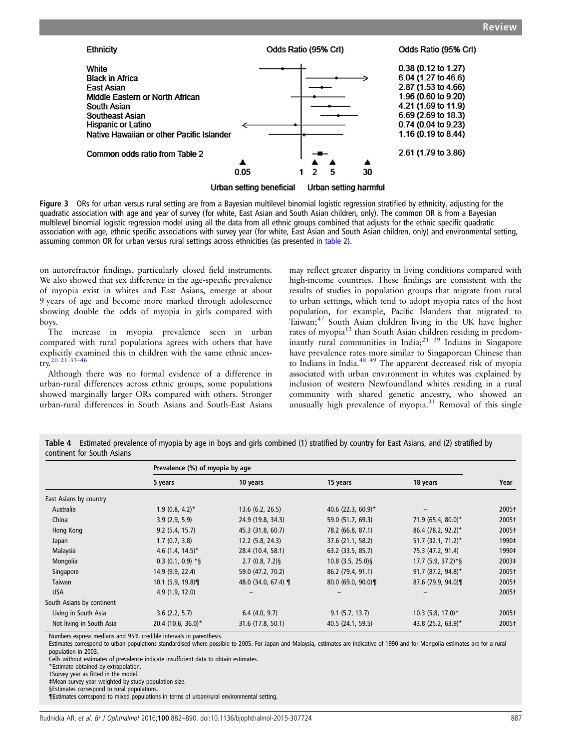<span id="page-5-0"></span>

Figure 3 ORs for urban versus rural setting are from a Bayesian multilevel binomial logistic regression stratified by ethnicity, adjusting for the quadratic association with age and year of survey (for white, East Asian and South Asian children, only). The common OR is from a Bayesian multilevel binomial logistic regression model using all the data from all ethnic groups combined that adjusts for the ethnic specific quadratic association with age, ethnic specific associations with survey year (for white, East Asian and South Asian children, only) and environmental setting, assuming common OR for urban versus rural settings across ethnicities (as presented in [table 2\)](#page-4-0).

on autorefractor findings, particularly closed field instruments. We also showed that sex difference in the age-specific prevalence of myopia exist in whites and East Asians, emerge at about 9 years of age and become more marked through adolescence showing double the odds of myopia in girls compared with boys.

The increase in myopia prevalence seen in urban compared with rural populations agrees with others that have explicitly examined this in children with the same ethnic ancestry.[20 21 33](#page-7-0)–<sup>46</sup>

Although there was no formal evidence of a difference in urban-rural differences across ethnic groups, some populations showed marginally larger ORs compared with others. Stronger urban-rural differences in South Asians and South-East Asians

may reflect greater disparity in living conditions compared with high-income countries. These findings are consistent with the results of studies in population groups that migrate from rural to urban settings, which tend to adopt myopia rates of the host population, for example, Pacific Islanders that migrated to Taiwan;<sup>47</sup> South Asian children living in the UK have higher rates of myopia $^{12}$  $^{12}$  $^{12}$  than South Asian children residing in predominantly rural communities in India; $^{21}$   $^{39}$  Indians in Singapore have prevalence rates more similar to Singaporean Chinese than to Indians in India.<sup>[48 49](#page-7-0)</sup> The apparent decreased risk of myopia associated with urban environment in whites was explained by inclusion of western Newfoundland whites residing in a rural community with shared genetic ancestry, who showed an unusually high prevalence of myopia. $31$  Removal of this single

Table 4 Estimated prevalence of myopia by age in boys and girls combined (1) stratified by country for East Asians, and (2) stratified by continent for South Asians

|                           | Prevalence (%) of myopia by age |                        |                     |                                 |       |  |
|---------------------------|---------------------------------|------------------------|---------------------|---------------------------------|-------|--|
|                           | 5 years                         | 10 years               | 15 years            | 18 years                        | Year  |  |
| East Asians by country    |                                 |                        |                     |                                 |       |  |
| Australia                 | $1.9(0.8, 4.2)^*$               | 13.6(6.2, 26.5)        | 40.6 (22.3, 60.9)*  |                                 | 2005† |  |
| China                     | 3.9(2.9, 5.9)                   | 24.9 (19.8, 34.3)      | 59.0 (51.7, 69.3)   | 71.9 (65.4, 80.0)*              | 2005+ |  |
| Hong Kong                 | 9.2(5.4, 15.7)                  | 45.3 (31.8, 60.7)      | 78.2 (66.8, 87.1)   | 86.4 (78.2, 92.2)*              | 2005+ |  |
| Japan                     | 1.7(0.7, 3.8)                   | $12.2$ (5.8, 24.3)     | 37.6 (21.1, 58.2)   | $51.7$ (32.1, 71.2)*            | 1990‡ |  |
| Malaysia                  | 4.6 $(1.4, 14.5)^*$             | 28.4 (10.4, 58.1)      | 63.2 (33.5, 85.7)   | 75.3 (47.2, 91.4)               | 1990‡ |  |
| Mongolia                  | $0.3$ (0.1, 0.9) *§             | $2.7(0.8, 7.2)\$       | $10.8$ (3.5, 25.0)§ | $17.7(5.9, 37.2)*$ §            | 2003‡ |  |
| Singapore                 | 14.9 (9.9, 22.4)                | 59.0 (47.2, 70.2)      | 86.2 (79.4, 91.1)   | 91.7 (87.2, 94.8)*              | 2005+ |  |
| Taiwan                    | $10.1$ (5.9, 19.8)              | 48.0 (34.0, 67.4) $\P$ | $80.0$ (69.0, 90.0) | 87.6 (79.9, 94.0)               | 2005† |  |
| <b>USA</b>                | 4.9(1.9, 12.0)                  |                        |                     |                                 | 2005+ |  |
| South Asians by continent |                                 |                        |                     |                                 |       |  |
| Living in South Asia      | 3.6(2.2, 5.7)                   | 6.4(4.0, 9.7)          | $9.1$ (5.7, 13.7)   | $10.3$ (5.8, 17.0) <sup>*</sup> | 2005+ |  |
| Not living in South Asia  | 20.4 (10.6, 36.0)*              | 31.6 (17.8, 50.1)      | 40.5 (24.1, 59.5)   | 43.8 (25.2, 63.9)*              | 2005+ |  |

Numbers express medians and 95% credible intervals in parenthesis.

Estimates correspond to urban populations standardised where possible to 2005. For Japan and Malaysia, estimates are indicative of 1990 and for Mongolia estimates are for a rural population in 2003.

Cells without estimates of prevalence indicate insufficient data to obtain estimates.

†Survey year as fitted in the model.

‡Mean survey year weighted by study population size.

§Estimates correspond to rural populations.

¶Estimates correspond to mixed populations in terms of urban/rural environmental setting.

<sup>\*</sup>Estimate obtained by extrapolation.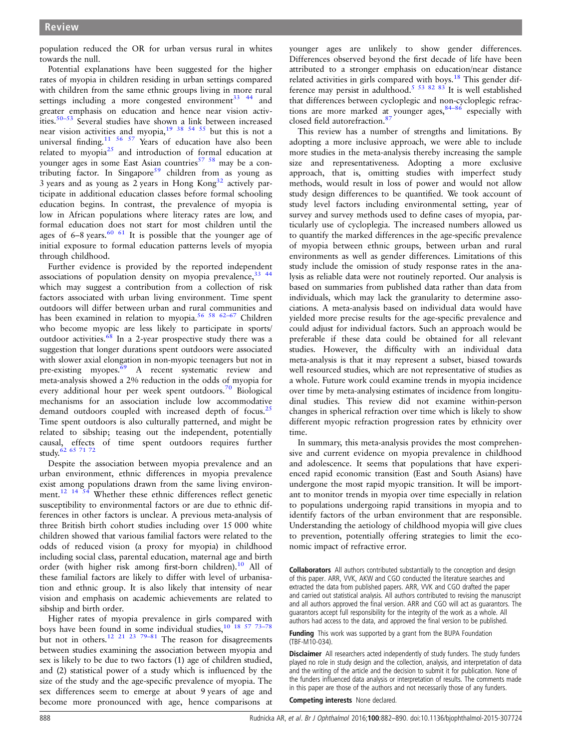population reduced the OR for urban versus rural in whites towards the null.

Potential explanations have been suggested for the higher rates of myopia in children residing in urban settings compared with children from the same ethnic groups living in more rural settings including a more congested environment<sup>33</sup>  $44$  and greater emphasis on education and hence near vision activities.[50](#page-7-0)–<sup>53</sup> Several studies have shown a link between increased near vision activities and myopia,  $19^{38}$   $54^{55}$  but this is not a universal finding.<sup>11 56 57</sup> Years of education have also been related to myopia[25](#page-7-0) and introduction of formal education at younger ages in some East Asian countries<sup>57</sup>  $58$  may be a con-tributing factor. In Singapore<sup>[59](#page-7-0)</sup> children from as young as 3 years and as young as 2 years in Hong Kong[32](#page-7-0) actively participate in additional education classes before formal schooling education begins. In contrast, the prevalence of myopia is low in African populations where literacy rates are low, and formal education does not start for most children until the ages of  $6-8$  years.<sup>[60 61](#page-7-0)</sup> It is possible that the younger age of initial exposure to formal education patterns levels of myopia through childhood.

Further evidence is provided by the reported independent associations of population density on myopia prevalence,  $33\frac{44}{1}$ which may suggest a contribution from a collection of risk factors associated with urban living environment. Time spent outdoors will differ between urban and rural communities and has been examined in relation to myopia.<sup>[56 58 62](#page-7-0)-67</sup> Children who become myopic are less likely to participate in sports/ outdoor activities.<sup>[68](#page-8-0)</sup> In a 2-year prospective study there was a suggestion that longer durations spent outdoors were associated with slower axial elongation in non-myopic teenagers but not in pre-existing myopes.<sup>69</sup> A recent systematic review and meta-analysis showed a 2% reduction in the odds of myopia for every additional hour per week spent outdoors.<sup>[70](#page-8-0)</sup> Biological mechanisms for an association include low accommodative demand outdoors coupled with increased depth of focus. $25$ Time spent outdoors is also culturally patterned, and might be related to sibship; teasing out the independent, potentially causal, effects of time spent outdoors requires further study.[62](#page-7-0) [65 71 72](#page-8-0)

Despite the association between myopia prevalence and an urban environment, ethnic differences in myopia prevalence exist among populations drawn from the same living environment.<sup>12</sup> <sup>14</sup> <sup>54</sup> Whether these ethnic differences reflect genetic susceptibility to environmental factors or are due to ethnic differences in other factors is unclear. A previous meta-analysis of three British birth cohort studies including over 15 000 white children showed that various familial factors were related to the odds of reduced vision (a proxy for myopia) in childhood including social class, parental education, maternal age and birth order (with higher risk among first-born children).<sup>10</sup> All of these familial factors are likely to differ with level of urbanisation and ethnic group. It is also likely that intensity of near vision and emphasis on academic achievements are related to sibship and birth order.

Higher rates of myopia prevalence in girls compared with boys have been found in some individual studies,  $10^{-18}$   $57$   $73-78$ but not in others.<sup>[12 21 23](#page-7-0) 79-[81](#page-8-0)</sup> The reason for disagreements between studies examining the association between myopia and sex is likely to be due to two factors (1) age of children studied, and (2) statistical power of a study which is influenced by the size of the study and the age-specific prevalence of myopia. The sex differences seem to emerge at about 9 years of age and become more pronounced with age, hence comparisons at

younger ages are unlikely to show gender differences. Differences observed beyond the first decade of life have been attributed to a stronger emphasis on education/near distance related activities in girls compared with boys.<sup>[18](#page-7-0)</sup> This gender dif-ference may persist in adulthood.<sup>[5 53](#page-7-0) 82</sup> 83 It is well established that differences between cycloplegic and non-cycloplegic refractions are more marked at younger ages,  $84-86$  $84-86$  especially with closed field autorefraction.<sup>8</sup>

This review has a number of strengths and limitations. By adopting a more inclusive approach, we were able to include more studies in the meta-analysis thereby increasing the sample size and representativeness. Adopting a more exclusive approach, that is, omitting studies with imperfect study methods, would result in loss of power and would not allow study design differences to be quantified. We took account of study level factors including environmental setting, year of survey and survey methods used to define cases of myopia, particularly use of cycloplegia. The increased numbers allowed us to quantify the marked differences in the age-specific prevalence of myopia between ethnic groups, between urban and rural environments as well as gender differences. Limitations of this study include the omission of study response rates in the analysis as reliable data were not routinely reported. Our analysis is based on summaries from published data rather than data from individuals, which may lack the granularity to determine associations. A meta-analysis based on individual data would have yielded more precise results for the age-specific prevalence and could adjust for individual factors. Such an approach would be preferable if these data could be obtained for all relevant studies. However, the difficulty with an individual data meta-analysis is that it may represent a subset, biased towards well resourced studies, which are not representative of studies as a whole. Future work could examine trends in myopia incidence over time by meta-analysing estimates of incidence from longitudinal studies. This review did not examine within-person changes in spherical refraction over time which is likely to show different myopic refraction progression rates by ethnicity over time.

In summary, this meta-analysis provides the most comprehensive and current evidence on myopia prevalence in childhood and adolescence. It seems that populations that have experienced rapid economic transition (East and South Asians) have undergone the most rapid myopic transition. It will be important to monitor trends in myopia over time especially in relation to populations undergoing rapid transitions in myopia and to identify factors of the urban environment that are responsible. Understanding the aetiology of childhood myopia will give clues to prevention, potentially offering strategies to limit the economic impact of refractive error.

Collaborators All authors contributed substantially to the conception and design of this paper. ARR, VVK, AKW and CGO conducted the literature searches and extracted the data from published papers. ARR, VVK and CGO drafted the paper and carried out statistical analysis. All authors contributed to revising the manuscript and all authors approved the final version. ARR and CGO will act as guarantors. The guarantors accept full responsibility for the integrity of the work as a whole. All authors had access to the data, and approved the final version to be published.

**Funding** This work was supported by a grant from the BUPA Foundation (TBF-M10-034).

Disclaimer All researchers acted independently of study funders. The study funders played no role in study design and the collection, analysis, and interpretation of data and the writing of the article and the decision to submit it for publication. None of the funders influenced data analysis or interpretation of results. The comments made in this paper are those of the authors and not necessarily those of any funders.

Competing interests None declared.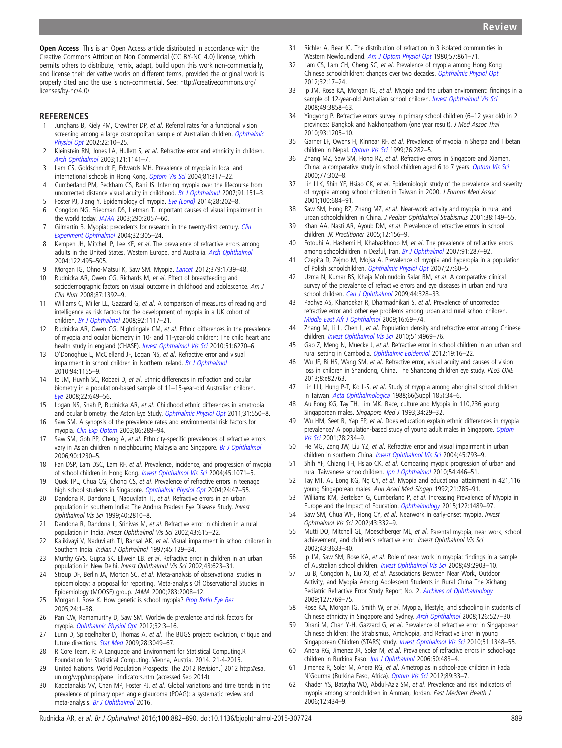<span id="page-7-0"></span>Open Access This is an Open Access article distributed in accordance with the Creative Commons Attribution Non Commercial (CC BY-NC 4.0) license, which permits others to distribute, remix, adapt, build upon this work non-commercially, and license their derivative works on different terms, provided the original work is properly cited and the use is non-commercial. See: [http://creativecommons.org/](http://creativecommons.org/licenses/by-nc/4.0/) [licenses/by-nc/4.0/](http://creativecommons.org/licenses/by-nc/4.0/)

#### REFERENCES

- 1 Junghans B, Kiely PM, Crewther DP, et al. Referral rates for a functional vision screening among a large cosmopolitan sample of Australian children. [Ophthalmic](http://dx.doi.org/10.1046/j.1475-1313.2002.00010.x) [Physiol Opt](http://dx.doi.org/10.1046/j.1475-1313.2002.00010.x) 2002;22:10–25.
- 2 Kleinstein RN, Jones LA, Hullett S, et al. Refractive error and ethnicity in children. [Arch Ophthalmol](http://dx.doi.org/10.1001/archopht.121.8.1141) 2003;121:1141–7.
- 3 Lam CS, Goldschmidt E, Edwards MH. Prevalence of myopia in local and international schools in Hong Kong. [Optom Vis Sci](http://dx.doi.org/10.1097/01.opx.0000134905.98403.18) 2004;81:317–22.
- 4 Cumberland PM, Peckham CS, Rahi JS. Inferring myopia over the lifecourse from uncorrected distance visual acuity in childhood. [Br J Ophthalmol](http://dx.doi.org/10.1136/bjo.2006.102277) 2007;91:151-3.
- 5 Foster PJ, Jiang Y. Epidemiology of myopia. [Eye \(Lond\)](http://dx.doi.org/10.1038/eye.2013.280) 2014;28:202-8. 6 Congdon NG, Friedman DS, Lietman T. Important causes of visual impairment in
- the world today. [JAMA](http://dx.doi.org/10.1001/jama.290.15.2057) 2003;290:2057–60.
- 7 Gilmartin B. Myopia: precedents for research in the twenty-first century. [Clin](http://dx.doi.org/10.1111/j.1442-9071.2004.00831.x) [Experiment Ophthalmol](http://dx.doi.org/10.1111/j.1442-9071.2004.00831.x) 2004;32:305–24.
- 8 Kempen JH, Mitchell P, Lee KE, et al. The prevalence of refractive errors among adults in the United States, Western Europe, and Australia. [Arch Ophthalmol](http://dx.doi.org/10.1001/archopht.122.4.495) 2004;122:495–505.
- 9 Morgan IG, Ohno-Matsui K, Saw SM. Myopia. [Lancet](http://dx.doi.org/10.1016/S0140-6736(12)60272-4) 2012;379:1739-48.
- 10 Rudnicka AR, Owen CG, Richards M, et al. Effect of breastfeeding and sociodemographic factors on visual outcome in childhood and adolescence. Am J Clin Nutr 2008;87:1392–9.
- 11 Williams C, Miller LL, Gazzard G, et al. A comparison of measures of reading and intelligence as risk factors for the development of myopia in a UK cohort of children. [Br J Ophthalmol](http://dx.doi.org/10.1136/bjo.2007.128256) 2008;92:1117–21.
- 12 Rudnicka AR, Owen CG, Nightingale CM, et al. Ethnic differences in the prevalence of myopia and ocular biometry in 10- and 11-year-old children: The child heart and health study in england (CHASE). [Invest Ophthalmol Vis Sci](http://dx.doi.org/10.1167/iovs.10-5528) 2010;51:6270-6.
- 13 O'Donoghue L, McClelland JF, Logan NS, et al. Refractive error and visual impairment in school children in Northern Ireland. [Br J Ophthalmol](http://dx.doi.org/10.1136/bjo.2009.176040) 2010;94:1155–9.
- 14 Ip JM, Huynh SC, Robaei D, et al. Ethnic differences in refraction and ocular biometry in a population-based sample of 11–15-year-old Australian children. [Eye](http://dx.doi.org/10.1038/sj.eye.6702701) 2008;22:649–56.
- 15 Logan NS, Shah P, Rudnicka AR, et al. Childhood ethnic differences in ametropia and ocular biometry: the Aston Eye Study. [Ophthalmic Physiol Opt](http://dx.doi.org/10.1111/j.1475-1313.2011.00862.x) 2011;31:550-8.
- 16 Saw SM. A synopsis of the prevalence rates and environmental risk factors for myopia. [Clin Exp Optom](http://dx.doi.org/10.1111/j.1444-0938.2003.tb03124.x) 2003;86:289–94.
- 17 Saw SM, Goh PP, Cheng A, et al. Ethnicity-specific prevalences of refractive errors vary in Asian children in neighbouring Malaysia and Singapore. [Br J Ophthalmol](http://dx.doi.org/10.1136/bjo.2006.093450) 2006;90:1230–5.
- 18 Fan DSP, Lam DSC, Lam RF, et al. Prevalence, incidence, and progression of myopia of school children in Hong Kong. [Invest Ophthalmol Vis Sci](http://dx.doi.org/10.1167/iovs.03-1151) 2004;45:1071–5.
- 19 Quek TPL, Chua CG, Chong CS, et al. Prevalence of refractive errors in teenage high school students in Singapore. [Ophthalmic Physiol Opt](http://dx.doi.org/10.1046/j.1475-1313.2003.00166.x) 2004;24:47-55.
- 20 Dandona R, Dandona L, Naduvilath TJ, et al. Refractive errors in an urban population in southern India: The Andhra Pradesh Eye Disease Study. Invest Ophthalmol Vis Sci 1999;40:2810–8.
- 21 Dandona R, Dandona L, Srinivas M, et al. Refractive error in children in a rural population in India. Invest Ophthalmol Vis Sci 2002;43:615–22.
- 22 Kalikivayi V, Naduvilath TJ, Bansal AK, et al. Visual impairment in school children in Southern India. Indian J Ophthalmol 1997;45:129-34.
- 23 Murthy GVS, Gupta SK, Ellwein LB, et al. Refractive error in children in an urban population in New Delhi. Invest Ophthalmol Vis Sci 2002;43:623–31.
- 24 Stroup DF, Berlin JA, Morton SC, et al. Meta-analysis of observational studies in epidemiology: a proposal for reporting. Meta-analysis Of Observational Studies in Epidemiology (MOOSE) group. JAMA 2000;283:2008–12.
- 25 Morgan I, Rose K. How genetic is school myopia? [Prog Retin Eye Res](http://dx.doi.org/10.1016/j.preteyeres.2004.06.004) 2005;24:1–38.
- 26 Pan CW, Ramamurthy D, Saw SM. Worldwide prevalence and risk factors for myopia. [Ophthalmic Physiol Opt](http://dx.doi.org/10.1111/j.1475-1313.2011.00884.x) 2012;32:3–16.
- 27 Lunn D, Spiegelhalter D, Thomas A, et al. The BUGS project: evolution, critique and future directions. [Stat Med](http://dx.doi.org/10.1002/sim.3680) 2009;28:3049-67.
- 28 R Core Team. R: A Language and Environment for Statistical Computing.R Foundation for Statistical Computing. Vienna, Austria. 2014. 21-4-2015.
- 29 United Nations. World Population Prospects: The 2012 Revision.[ 2012 [http://esa.](http://esa.un.org/wpp/unpp/panel_indicators.htm) [un.org/wpp/unpp/panel\\_indicators.htm](http://esa.un.org/wpp/unpp/panel_indicators.htm) (accessed Sep 2014).
- 30 Kapetanakis VV, Chan MP, Foster PJ, et al. Global variations and time trends in the prevalence of primary open angle glaucoma (POAG): a systematic review and meta-analysis. [Br J Ophthalmol](http://dx.doi.org/10.1136/bjophthalmol-2015-307223) 2016.
- 31 Richler A, Bear JC. The distribution of refraction in 3 isolated communities in Western Newfoundland. [Am J Optom Physiol Opt](http://dx.doi.org/10.1097/00006324-198011000-00012) 1980;57:861-71.
- 32 Lam CS, Lam CH, Cheng SC, et al. Prevalence of myopia among Hong Kong Chinese schoolchildren: changes over two decades. [Ophthalmic Physiol Opt](http://dx.doi.org/10.1111/j.1475-1313.2011.00886.x) 2012;32:17–24.
- 33 Ip JM, Rose KA, Morgan IG, et al. Myopia and the urban environment: findings in a sample of 12-year-old Australian school children. [Invest Ophthalmol Vis Sci](http://dx.doi.org/10.1167/iovs.07-1451) 2008;49:3858–63.
- 34 Yingyong P. Refractive errors survey in primary school children (6–12 year old) in 2 provinces: Bangkok and Nakhonpathom (one year result). J Med Assoc Thai 2010;93:1205–10.
- 35 Garner LF, Owens H, Kinnear RF, et al. Prevalence of myopia in Sherpa and Tibetan children in Nepal. [Optom Vis Sci](http://dx.doi.org/10.1097/00006324-199905000-00014) 1999;76:282-5.
- 36 Zhang MZ, Saw SM, Hong RZ, et al. Refractive errors in Singapore and Xiamen, China: a comparative study in school children aged 6 to 7 years. [Optom Vis Sci](http://dx.doi.org/10.1097/00006324-200006000-00010) 2000;77:302–8.
- 37 Lin LLK, Shih YF, Hsiao CK, et al. Epidemiologic study of the prevalence and severity of myopia among school children in Taiwan in 2000. J Formos Med Assoc 2001;100:684–91.
- 38 Saw SM, Hong RZ, Zhang MZ, et al. Near-work activity and myopia in rural and urban schoolchildren in China. J Pediatr Ophthalmol Strabismus 2001;38:149–55.
- 39 Khan AA, Nasti AR, Ayoub DM, et al. Prevalence of refractive errors in school children. JK Practitioner 2005;12:156-9.
- 40 Fotouhi A, Hashemi H, Khabazkhoob M, et al. The prevalence of refractive errors among schoolchildren in Dezful, Iran. [Br J Ophthalmol](http://dx.doi.org/10.1136/bjo.2006.099937) 2007;91:287-92.
- 41 Czepita D, Zejmo M, Mojsa A. Prevalence of myopia and hyperopia in a population of Polish schoolchildren. [Ophthalmic Physiol Opt](http://dx.doi.org/10.1111/j.1475-1313.2006.00419.x) 2007;27:60-5.
- 42 Uzma N, Kumar BS, Khaja Mohinuddin Salar BM, et al. A comparative clinical survey of the prevalence of refractive errors and eye diseases in urban and rural school children. [Can J Ophthalmol](http://dx.doi.org/10.3129/i09-030) 2009;44:328-33.
- 43 Padhye AS, Khandekar R, Dharmadhikari S, et al. Prevalence of uncorrected refractive error and other eye problems among urban and rural school children. [Middle East Afr J Ophthalmol](http://dx.doi.org/10.4103/0974-9233.53864) 2009;16:69–74.
- 44 Zhang M, Li L, Chen L, et al. Population density and refractive error among Chinese children. [Invest Ophthalmol Vis Sci](http://dx.doi.org/10.1167/iovs.10-5424) 2010;51:4969-76.
- 45 Gao Z, Meng N, Muecke J, et al. Refractive error in school children in an urban and rural setting in Cambodia. [Ophthalmic Epidemiol](http://dx.doi.org/10.3109/09286586.2011.632703) 2012;19:16-22
- 46 Wu JF, Bi HS, Wang SM, et al. Refractive error, visual acuity and causes of vision loss in children in Shandong, China. The Shandong children eye study. PLoS ONE 2013;8:e82763.
- 47 Lin LLJ, Hung P-T, Ko L-S, et al. Study of myopia among aboriginal school children in Taiwan. [Acta Ophthalmologica](http://dx.doi.org/10.1111/j.1755-3768.1988.tb02658.x) 1988;66(Suppl 185):34-6.
- 48 Au Eong KG, Tay TH, Lim MK. Race, culture and Myopia in 110,236 young Singaporean males. Singapore Med J 1993;34:29-32.
- 49 Wu HM, Seet B, Yap EP, et al. Does education explain ethnic differences in myopia prevalence? A population-based study of young adult males in Singapore. [Optom](http://dx.doi.org/10.1097/00006324-200104000-00012) [Vis Sci](http://dx.doi.org/10.1097/00006324-200104000-00012) 2001;78:234–9.
- 50 He MG, Zeng JW, Liu YZ, et al. Refractive error and visual impairment in urban children in southern China. [Invest Ophthalmol Vis Sci](http://dx.doi.org/10.1167/iovs.03-1051) 2004;45:793-9.
- 51 Shih YF, Chiang TH, Hsiao CK, et al. Comparing myopic progression of urban and rural Taiwanese schoolchildren. [Jpn J Ophthalmol](http://dx.doi.org/10.1007/s10384-010-0860-7) 2010;54:446-51.
- 52 Tay MT, Au Eong KG, Ng CY, et al. Myopia and educational attainment in 421,116 young Singaporean males. Ann Acad Med Singap 1992;21:785–91.
- 53 Williams KM, Bertelsen G, Cumberland P, et al. Increasing Prevalence of Myopia in Europe and the Impact of Education. [Ophthalmology](http://dx.doi.org/10.1016/j.ophtha.2015.03.018) 2015;122:1489-97.
- 54 Saw SM, Chua WH, Hong CY, et al. Nearwork in early-onset myopia. Invest Ophthalmol Vis Sci 2002;43:332–9.
- 55 Mutti DO, Mitchell GL, Moeschberger ML, et al. Parental myopia, near work, school achievement, and children's refractive error. Invest Ophthalmol Vis Sci 2002;43:3633–40.
- 56 Ip JM, Saw SM, Rose KA, et al. Role of near work in myopia: findings in a sample of Australian school children. [Invest Ophthalmol Vis Sci](http://dx.doi.org/10.1167/iovs.07-0804) 2008;49:2903–10.
- 57 Lu B, Congdon N, Liu XJ, et al. Associations Between Near Work, Outdoor Activity, and Myopia Among Adolescent Students in Rural China The Xichang Pediatric Refractive Error Study Report No. 2. [Archives of Ophthalmology](http://dx.doi.org/10.1001/archophthalmol.2009.105) 2009;127:769–75.
- 58 Rose KA, Morgan IG, Smith W, et al. Myopia, lifestyle, and schooling in students of Chinese ethnicity in Singapore and Sydney. [Arch Ophthalmol](http://dx.doi.org/10.1001/archopht.126.4.527) 2008;126:527–30.
- 59 Dirani M, Chan Y-H, Gazzard G, et al. Prevalence of refractive error in Singaporean Chinese children: The Strabismus, Amblyopia, and Refractive Error in young Singaporean Children (STARS) study. [Invest Ophthalmol Vis Sci](http://dx.doi.org/10.1167/iovs.09-3587) 2010;51:1348-55.
- 60 Anera RG, Jimenez JR, Soler M, et al. Prevalence of refractive errors in school-age children in Burkina Faso. [Jpn J Ophthalmol](http://dx.doi.org/10.1007/s10384-006-0354-9) 2006;50:483-4.
- 61 Jimenez R, Soler M, Anera RG, et al. Ametropias in school-age children in Fada N'Gourma (Burkina Faso, Africa). [Optom Vis Sci](http://dx.doi.org/10.1097/OPX.0b013e318238b3dd) 2012;89:33-7.
- 62 Khader YS, Batayha WQ, Abdul-Aziz SM, et al. Prevalence and risk indicators of myopia among schoolchildren in Amman, Jordan. East Mediterr Health J 2006;12:434–9.